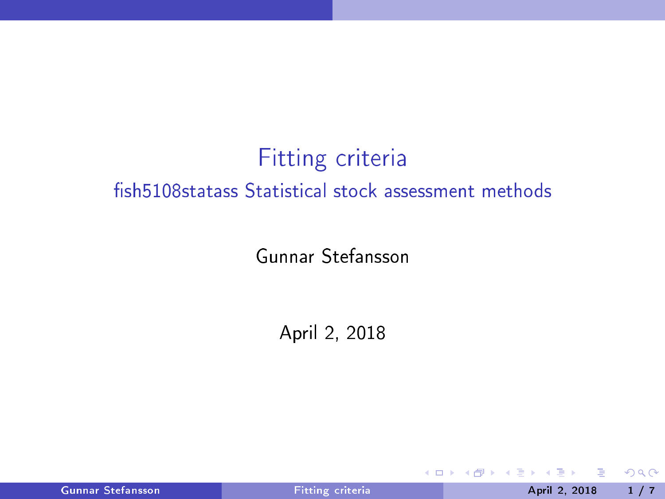# Fitting criteria fish 5108 statass Statistical stock assessment methods

Gunnar Stefansson

April 2, 2018

| Gunnar Stefansson |  |
|-------------------|--|
|                   |  |
|                   |  |

4 0 8

<span id="page-0-0"></span> $298$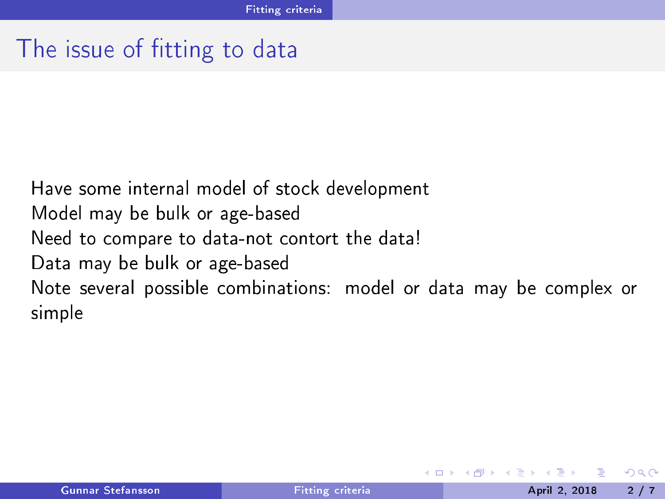### The issue of fitting to data

Have some internal model of sto
k development Model may be bulk or age-based Need to compare to data-not contort the data! Data may be bulk or age-based Note several possible combinations: model or data may be complex or simple

<span id="page-1-0"></span>4 0 8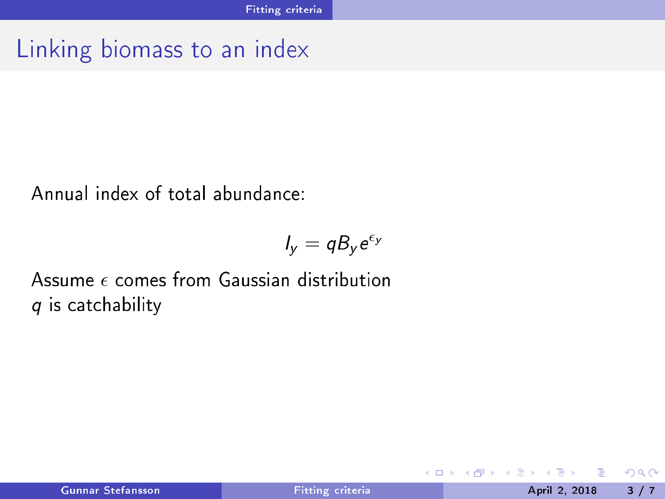## Linking biomass to an index

Annual index of total abundance:

$$
I_y = q B_y e^{\epsilon_y}
$$

Assume  $\epsilon$  comes from Gaussian distribution q is catchability

<span id="page-2-0"></span> $\leftarrow$   $\Box$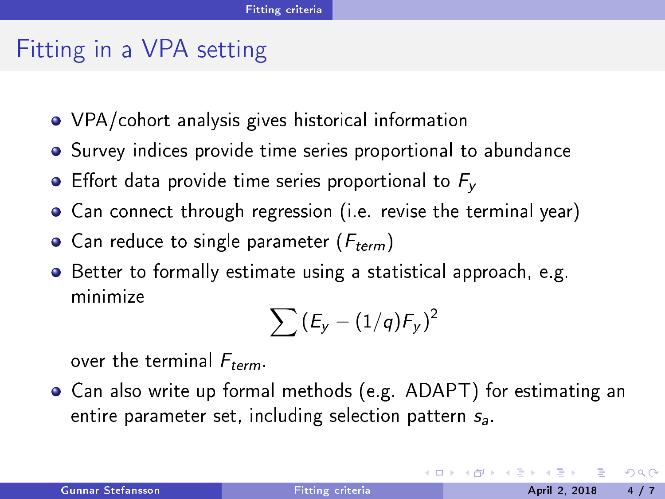### Fitting in a VPA setting

- VPA/cohort analysis gives historical information
- Survey indices provide time series proportional to abundance
- **•** Effort data provide time series proportional to  $F_v$
- Can connect through regression (i.e. revise the terminal year)
- Can reduce to single parameter  $(F_{term})$
- o Better to formally estimate using a statistical approach, e.g. minimize

<span id="page-3-0"></span>
$$
\sum \left(E_y-(1/q)F_y\right)^2
$$

over the terminal  $F_{term}$ .

Can also write up formal methods (e.g. ADAPT) for estimating an entire parameter set, including selection pattern  $s_a$ .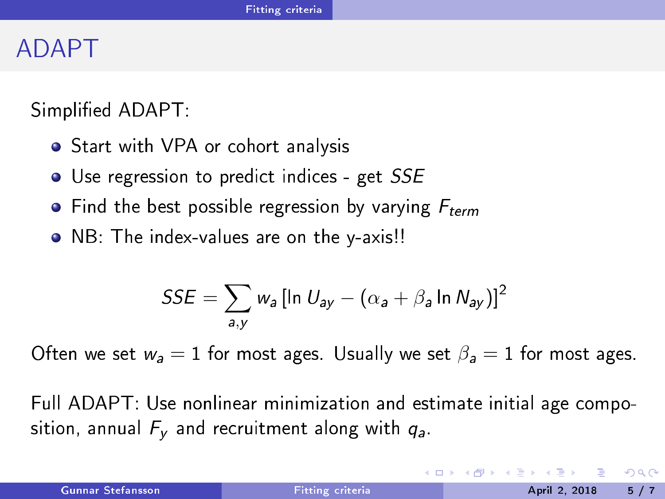#### ADAPT

Simplified ADAPT:

- Start with VPA or cohort analysis
- · Use regression to predict indices get SSE
- Find the best possible regression by varying  $F_{term}$
- NB: The index-values are on the y-axis!!

<span id="page-4-0"></span>
$$
SSE = \sum_{a,y} w_a [\ln U_{ay} - (\alpha_a + \beta_a \ln N_{ay})]^2
$$

Often we set  $w_a = 1$  for most ages. Usually we set  $\beta_a = 1$  for most ages.

Full ADAPT: Use nonlinear minimization and estimate initial age composition, annual  $F_v$  and recruitment along with  $g_a$ .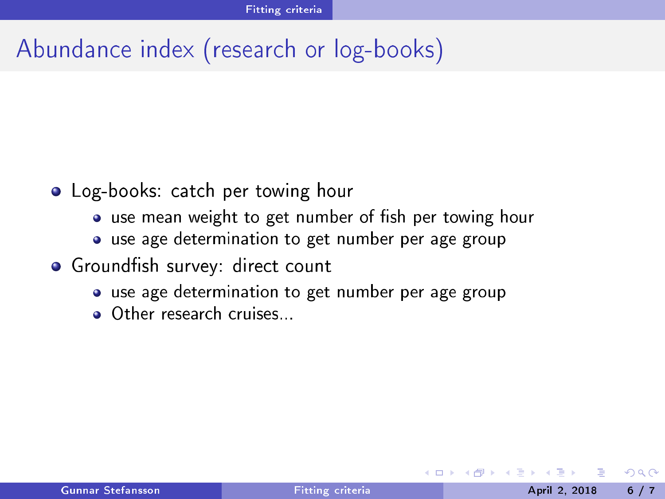# Abundan
e index (resear
h or log-books)

- Log-books: catch per towing hour Log-books: at
h per towing hour
	- use mean weight to get number of fish per towing hour
	- use age determination to get number per age group
- · Groundfish survey: direct count
	- use age determination to get number per age group
	- **a** Other research cruises

<span id="page-5-0"></span>4 0 8